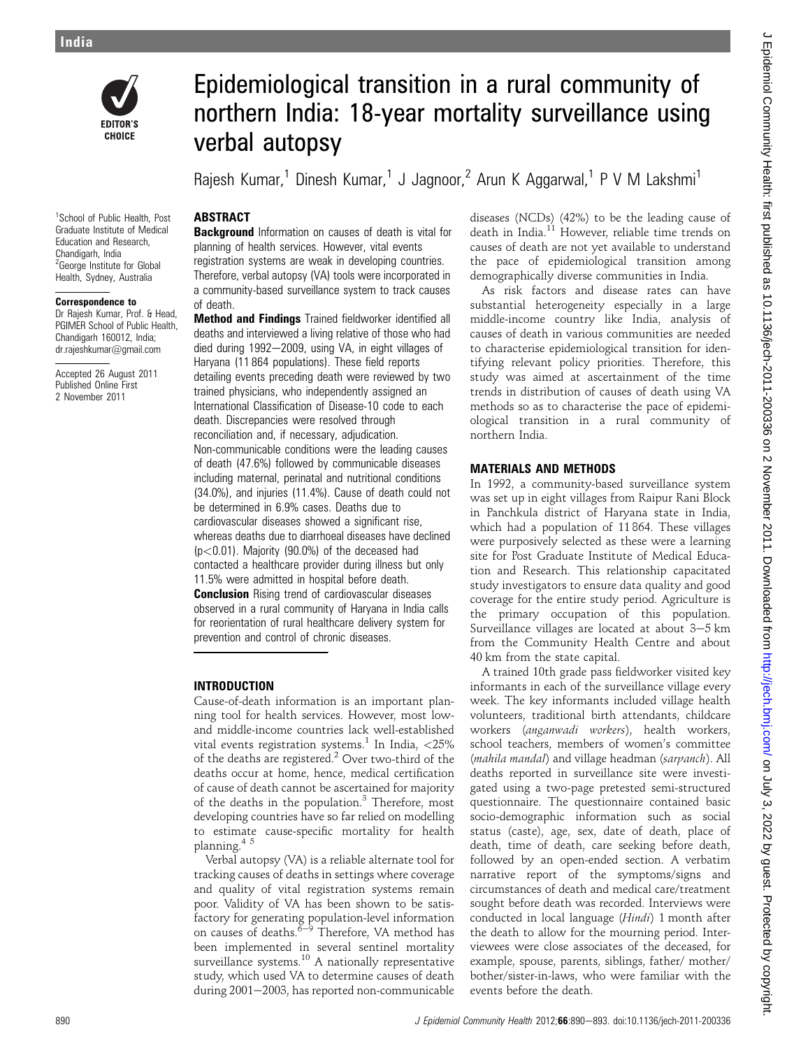

<sup>1</sup>School of Public Health, Post Graduate Institute of Medical Education and Research, Chandigarh, India <sup>2</sup>George Institute for Global Health, Sydney, Australia Correspondence to Dr Rajesh Kumar, Prof. & Head, PGIMER School of Public Health, Chandigarh 160012, India; dr.rajeshkumar@gmail.com Accepted 26 August 2011 Published Online First 2 November 2011

Epidemiological transition in a rural community of northern India: 18-year mortality surveillance using verbal autopsy

Rajesh Kumar,<sup>1</sup> Dinesh Kumar,<sup>1</sup> J Jagnoor,<sup>2</sup> Arun K Aggarwal,<sup>1</sup> P V M Lakshmi<sup>1</sup>

# **ABSTRACT**

**Background** Information on causes of death is vital for planning of health services. However, vital events registration systems are weak in developing countries. Therefore, verbal autopsy (VA) tools were incorporated in a community-based surveillance system to track causes of death.

Method and Findings Trained fieldworker identified all deaths and interviewed a living relative of those who had died during 1992-2009, using VA, in eight villages of Haryana (11 864 populations). These field reports detailing events preceding death were reviewed by two trained physicians, who independently assigned an International Classification of Disease-10 code to each death. Discrepancies were resolved through reconciliation and, if necessary, adjudication. Non-communicable conditions were the leading causes of death (47.6%) followed by communicable diseases including maternal, perinatal and nutritional conditions (34.0%), and injuries (11.4%). Cause of death could not be determined in 6.9% cases. Deaths due to cardiovascular diseases showed a significant rise, whereas deaths due to diarrhoeal diseases have declined (p<0.01). Majority (90.0%) of the deceased had contacted a healthcare provider during illness but only 11.5% were admitted in hospital before death. **Conclusion** Rising trend of cardiovascular diseases observed in a rural community of Haryana in India calls for reorientation of rural healthcare delivery system for

INTRODUCTION

Cause-of-death information is an important planning tool for health services. However, most lowand middle-income countries lack well-established vital events registration systems.<sup>1</sup> In India,  $\langle 25\%$ of the deaths are registered.<sup>2</sup> Over two-third of the deaths occur at home, hence, medical certification of cause of death cannot be ascertained for majority of the deaths in the population.<sup>3</sup> Therefore, most developing countries have so far relied on modelling to estimate cause-specific mortality for health planning.4 5

prevention and control of chronic diseases.

Verbal autopsy (VA) is a reliable alternate tool for tracking causes of deaths in settings where coverage and quality of vital registration systems remain poor. Validity of VA has been shown to be satisfactory for generating population-level information on causes of deaths. $6-9$  Therefore, VA method has been implemented in several sentinel mortality surveillance systems.<sup>10</sup> A nationally representative study, which used VA to determine causes of death during  $2001-2003$ , has reported non-communicable diseases (NCDs) (42%) to be the leading cause of death in India.<sup>11</sup> However, reliable time trends on causes of death are not yet available to understand the pace of epidemiological transition among demographically diverse communities in India.

As risk factors and disease rates can have substantial heterogeneity especially in a large middle-income country like India, analysis of causes of death in various communities are needed to characterise epidemiological transition for identifying relevant policy priorities. Therefore, this study was aimed at ascertainment of the time trends in distribution of causes of death using VA methods so as to characterise the pace of epidemiological transition in a rural community of northern India.

### MATERIALS AND METHODS

In 1992, a community-based surveillance system was set up in eight villages from Raipur Rani Block in Panchkula district of Haryana state in India, which had a population of 11 864. These villages were purposively selected as these were a learning site for Post Graduate Institute of Medical Education and Research. This relationship capacitated study investigators to ensure data quality and good coverage for the entire study period. Agriculture is the primary occupation of this population. Surveillance villages are located at about  $3-5$  km from the Community Health Centre and about 40 km from the state capital.

A trained 10th grade pass fieldworker visited key informants in each of the surveillance village every week. The key informants included village health volunteers, traditional birth attendants, childcare workers (anganwadi workers), health workers, school teachers, members of women's committee (mahila mandal) and village headman (sarpanch). All deaths reported in surveillance site were investigated using a two-page pretested semi-structured questionnaire. The questionnaire contained basic socio-demographic information such as social status (caste), age, sex, date of death, place of death, time of death, care seeking before death, followed by an open-ended section. A verbatim narrative report of the symptoms/signs and circumstances of death and medical care/treatment sought before death was recorded. Interviews were conducted in local language (Hindi) 1 month after the death to allow for the mourning period. Interviewees were close associates of the deceased, for example, spouse, parents, siblings, father/ mother/ bother/sister-in-laws, who were familiar with the events before the death.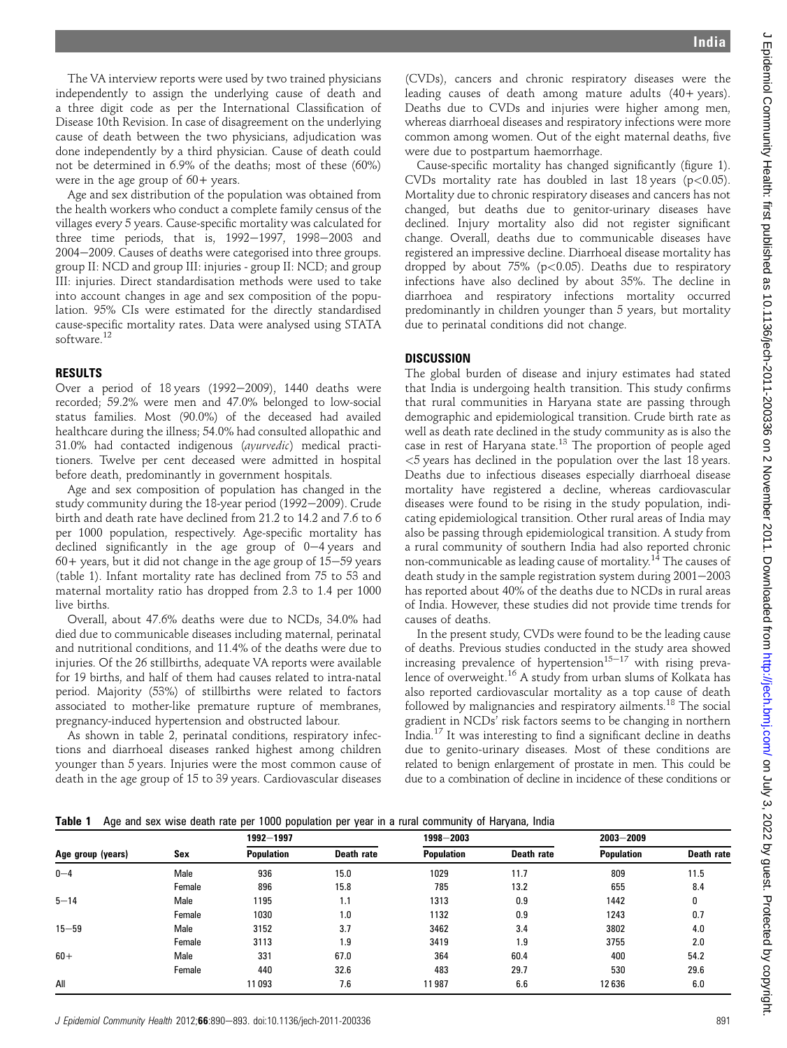The VA interview reports were used by two trained physicians independently to assign the underlying cause of death and a three digit code as per the International Classification of Disease 10th Revision. In case of disagreement on the underlying cause of death between the two physicians, adjudication was done independently by a third physician. Cause of death could not be determined in 6.9% of the deaths; most of these (60%) were in the age group of  $60+$  years.

Age and sex distribution of the population was obtained from the health workers who conduct a complete family census of the villages every 5 years. Cause-specific mortality was calculated for three time periods, that is,  $1992-1997$ ,  $1998-2003$  and 2004-2009. Causes of deaths were categorised into three groups. group II: NCD and group III: injuries - group II: NCD; and group III: injuries. Direct standardisation methods were used to take into account changes in age and sex composition of the population. 95% CIs were estimated for the directly standardised cause-specific mortality rates. Data were analysed using STATA software.<sup>12</sup>

#### RESULTS

Over a period of 18 years (1992 $-2009$ ), 1440 deaths were recorded; 59.2% were men and 47.0% belonged to low-social status families. Most (90.0%) of the deceased had availed healthcare during the illness; 54.0% had consulted allopathic and 31.0% had contacted indigenous (ayurvedic) medical practitioners. Twelve per cent deceased were admitted in hospital before death, predominantly in government hospitals.

Age and sex composition of population has changed in the study community during the 18-year period (1992-2009). Crude birth and death rate have declined from 21.2 to 14.2 and 7.6 to 6 per 1000 population, respectively. Age-specific mortality has declined significantly in the age group of  $0-4$  years and  $60+$  years, but it did not change in the age group of  $15-59$  years (table 1). Infant mortality rate has declined from 75 to 53 and maternal mortality ratio has dropped from 2.3 to 1.4 per 1000 live births.

Overall, about 47.6% deaths were due to NCDs, 34.0% had died due to communicable diseases including maternal, perinatal and nutritional conditions, and 11.4% of the deaths were due to injuries. Of the 26 stillbirths, adequate VA reports were available for 19 births, and half of them had causes related to intra-natal period. Majority (53%) of stillbirths were related to factors associated to mother-like premature rupture of membranes, pregnancy-induced hypertension and obstructed labour.

As shown in table 2, perinatal conditions, respiratory infections and diarrhoeal diseases ranked highest among children younger than 5 years. Injuries were the most common cause of death in the age group of 15 to 39 years. Cardiovascular diseases

(CVDs), cancers and chronic respiratory diseases were the leading causes of death among mature adults (40+ years). Deaths due to CVDs and injuries were higher among men, whereas diarrhoeal diseases and respiratory infections were more common among women. Out of the eight maternal deaths, five were due to postpartum haemorrhage.

Cause-specific mortality has changed significantly (figure 1). CVDs mortality rate has doubled in last 18 years ( $p < 0.05$ ). Mortality due to chronic respiratory diseases and cancers has not changed, but deaths due to genitor-urinary diseases have declined. Injury mortality also did not register significant change. Overall, deaths due to communicable diseases have registered an impressive decline. Diarrhoeal disease mortality has dropped by about 75% ( $p$ <0.05). Deaths due to respiratory infections have also declined by about 35%. The decline in diarrhoea and respiratory infections mortality occurred predominantly in children younger than 5 years, but mortality due to perinatal conditions did not change.

## DISCUSSION

The global burden of disease and injury estimates had stated that India is undergoing health transition. This study confirms that rural communities in Haryana state are passing through demographic and epidemiological transition. Crude birth rate as well as death rate declined in the study community as is also the case in rest of Haryana state.<sup>13</sup> The proportion of people aged <5 years has declined in the population over the last 18 years. Deaths due to infectious diseases especially diarrhoeal disease mortality have registered a decline, whereas cardiovascular diseases were found to be rising in the study population, indicating epidemiological transition. Other rural areas of India may also be passing through epidemiological transition. A study from a rural community of southern India had also reported chronic non-communicable as leading cause of mortality.<sup>14</sup> The causes of death study in the sample registration system during  $2001-2003$ has reported about 40% of the deaths due to NCDs in rural areas of India. However, these studies did not provide time trends for causes of deaths.

In the present study, CVDs were found to be the leading cause of deaths. Previous studies conducted in the study area showed increasing prevalence of hypertension<sup>15–17</sup> with rising prevalence of overweight.<sup>16</sup> A study from urban slums of Kolkata has also reported cardiovascular mortality as a top cause of death followed by malignancies and respiratory ailments.18 The social gradient in NCDs' risk factors seems to be changing in northern India.<sup>17</sup> It was interesting to find a significant decline in deaths due to genito-urinary diseases. Most of these conditions are related to benign enlargement of prostate in men. This could be due to a combination of decline in incidence of these conditions or

Table 1 Age and sex wise death rate per 1000 population per year in a rural community of Haryana, India

| ັ<br>Age group (years) | Sex    | 1992-1997         |            | 1998-2003         |            | $2003 - 2009$     |            |
|------------------------|--------|-------------------|------------|-------------------|------------|-------------------|------------|
|                        |        | <b>Population</b> | Death rate | <b>Population</b> | Death rate | <b>Population</b> | Death rate |
| $0 - 4$                | Male   | 936               | 15.0       | 1029              | 11.7       | 809               | 11.5       |
|                        | Female | 896               | 15.8       | 785               | 13.2       | 655               | 8.4        |
| $5 - 14$               | Male   | 1195              | 1.1        | 1313              | 0.9        | 1442              | 0          |
|                        | Female | 1030              | 1.0        | 1132              | 0.9        | 1243              | 0.7        |
| $15 - 59$              | Male   | 3152              | 3.7        | 3462              | 3.4        | 3802              | 4.0        |
|                        | Female | 3113              | 1.9        | 3419              | 1.9        | 3755              | 2.0        |
| $60+$                  | Male   | 331               | 67.0       | 364               | 60.4       | 400               | 54.2       |
|                        | Female | 440               | 32.6       | 483               | 29.7       | 530               | 29.6       |
| All                    |        | 11093             | 7.6        | 11987             | 6.6        | 12636             | 6.0        |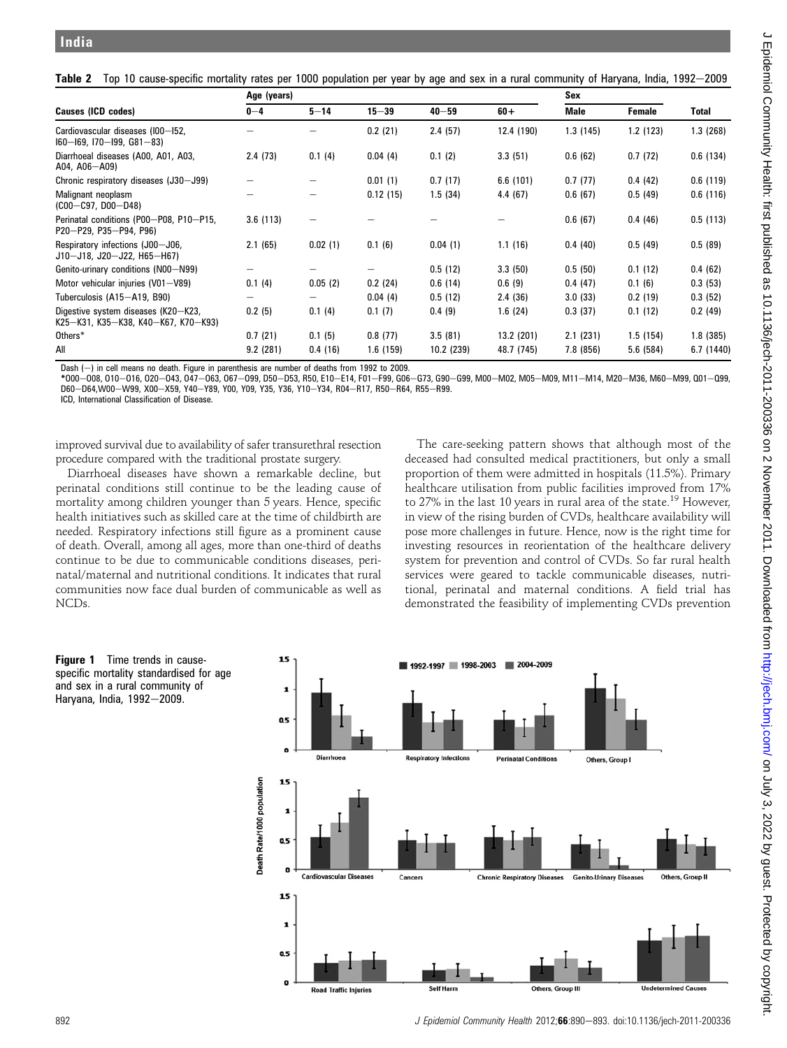Table 2 Top 10 cause-specific mortality rates per 1000 population per year by age and sex in a rural community of Haryana, India, 1992-2009

|                                                                            | Age (years) |          |           |            |            |             | Sex      |           |
|----------------------------------------------------------------------------|-------------|----------|-----------|------------|------------|-------------|----------|-----------|
| Causes (ICD codes)                                                         | $0 - 4$     | $5 - 14$ | $15 - 39$ | $40 - 59$  | $60+$      | <b>Male</b> | Female   | Total     |
| Cardiovascular diseases (I00-I52,<br>$160 - 169$ , 170 $-199$ , $G81 - 83$ |             |          | 0.2(21)   | 2.4(57)    | 12.4 (190) | 1.3(145)    | 1.2(123) | 1.3(268)  |
| Diarrhoeal diseases (A00, A01, A03,<br>A04, A06-A09)                       | 2.4(73)     | 0.1(4)   | 0.04(4)   | 0.1(2)     | 3.3(51)    | 0.6(62)     | 0.7(72)  | 0.6(134)  |
| Chronic respiratory diseases (J30-J99)                                     |             |          | 0.01(1)   | 0.7(17)    | 6.6(101)   | 0.7(77)     | 0.4(42)  | 0.6(119)  |
| Malignant neoplasm<br>$(C00-C97, D00-D48)$                                 |             |          | 0.12(15)  | 1.5(34)    | 4.4(67)    | 0.6(67)     | 0.5(49)  | 0.6(116)  |
| Perinatal conditions (P00-P08, P10-P15,<br>P20-P29, P35-P94, P96)          | 3.6(113)    |          |           |            |            | 0.6(67)     | 0.4(46)  | 0.5(113)  |
| Respiratory infections (J00-J06,<br>J10-J18, J20-J22, H65-H67)             | 2.1(65)     | 0.02(1)  | 0.1(6)    | 0.04(1)    | 1.1(16)    | 0.4(40)     | 0.5(49)  | 0.5(89)   |
| Genito-urinary conditions (N00-N99)                                        |             |          |           | 0.5(12)    | 3.3(50)    | 0.5(50)     | 0.1(12)  | 0.4(62)   |
| Motor vehicular injuries (V01-V89)                                         | 0.1(4)      | 0.05(2)  | 0.2(24)   | 0.6(14)    | 0.6(9)     | 0.4(47)     | 0.1(6)   | 0.3(53)   |
| Tuberculosis (A15-A19, B90)                                                | -           |          | 0.04(4)   | 0.5(12)    | 2.4(36)    | 3.0(33)     | 0.2(19)  | 0.3(52)   |
| Digestive system diseases (K20-K23,<br>K25-K31, K35-K38, K40-K67, K70-K93) | 0.2(5)      | 0.1(4)   | 0.1(7)    | 0.4(9)     | 1.6(24)    | 0.3(37)     | 0.1(12)  | 0.2(49)   |
| Others*                                                                    | 0.7(21)     | 0.1(5)   | 0.8(77)   | 3.5(81)    | 13.2 (201) | 2.1(231)    | 1.5(154) | 1.8(385)  |
| All                                                                        | 9.2(281)    | 0.4(16)  | 1.6 (159) | 10.2 (239) | 48.7 (745) | 7.8 (856)   | 5.6(584) | 6.7(1440) |

Dash  $(-)$  in cell means no death. Figure in parenthesis are number of deaths from 1992 to 2009.

\*000-008, 010-016, 020-043, 047-063, 067-099, D50-D53, R50, E10-E14, F01-F99, G06-G73, G90-G99, M00-M02, M05-M09, M11-M14, M20-M36, M60-M99, Q01-Q99, D60-D64,W00-W99, X00-X59, Y40-Y89, Y00, Y09, Y35, Y36, Y10-Y34, R04-R17, R50-R64, R55-R99.

ICD, International Classification of Disease.

improved survival due to availability of safer transurethral resection procedure compared with the traditional prostate surgery.

Diarrhoeal diseases have shown a remarkable decline, but perinatal conditions still continue to be the leading cause of mortality among children younger than 5 years. Hence, specific health initiatives such as skilled care at the time of childbirth are needed. Respiratory infections still figure as a prominent cause of death. Overall, among all ages, more than one-third of deaths continue to be due to communicable conditions diseases, perinatal/maternal and nutritional conditions. It indicates that rural communities now face dual burden of communicable as well as NCDs.

The care-seeking pattern shows that although most of the deceased had consulted medical practitioners, but only a small proportion of them were admitted in hospitals (11.5%). Primary healthcare utilisation from public facilities improved from 17% to 27% in the last 10 years in rural area of the state.<sup>19</sup> However, in view of the rising burden of CVDs, healthcare availability will pose more challenges in future. Hence, now is the right time for investing resources in reorientation of the healthcare delivery system for prevention and control of CVDs. So far rural health services were geared to tackle communicable diseases, nutritional, perinatal and maternal conditions. A field trial has demonstrated the feasibility of implementing CVDs prevention